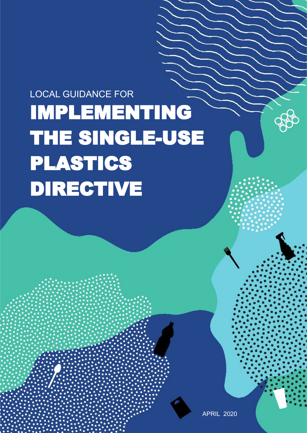## IMPLEMENTING THE SINGLE-USE PLASTICS DIRECTIVE LOCAL GUIDANCE FOR

APRIL 2020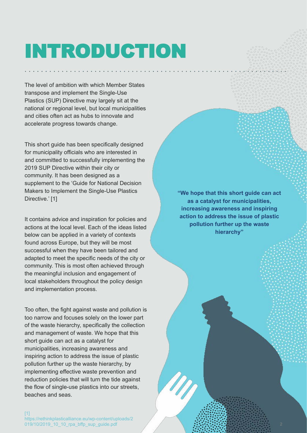# INTRODUCTION

The level of ambition with which Member States transpose and implement the Single-Use Plastics (SUP) Directive may largely sit at the national or regional level, but local municipalities and cities often act as hubs to innovate and accelerate progress towards change.

This short guide has been specifically designed for municipality officials who are interested in and committed to successfully implementing the 2019 SUP Directive within their city or community. It has been designed as a supplement to the 'Guide for National Decision Makers to Implement the Single-Use Plastics Directive.' [1]

It contains advice and inspiration for policies and actions at the local level. Each of the ideas listed below can be applied in a variety of contexts found across Europe, but they will be most successful when they have been tailored and adapted to meet the specific needs of the city or community. This is most often achieved through the meaningful inclusion and engagement of local stakeholders throughout the policy design and implementation process.

Too often, the fight against waste and pollution is too narrow and focuses solely on the lower part of the waste hierarchy, specifically the collection and management of waste. We hope that this short guide can act as a catalyst for municipalities, increasing awareness and inspiring action to address the issue of plastic pollution further up the waste hierarchy, by implementing effective waste prevention and reduction policies that will turn the tide against the flow of single-use plastics into our streets, beaches and seas.

**"We hope that this short guide can act as a catalyst for municipalities, increasing awareness and inspiring action to address the issue of plastic pollution further up the waste hierarchy"**

[1] https://rethinkplasticalliance.eu/wp-content/uploads/2 019/10/2019\_10\_10\_rpa\_bffp\_sup\_guide.pdf 2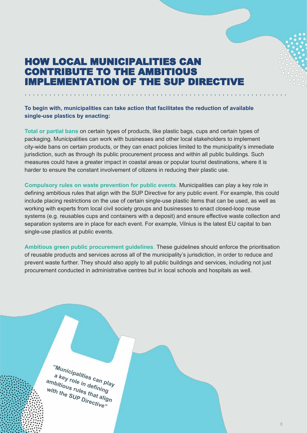## HOW LOCAL MUNICIPALITIES CAN CONTRIBUTE TO THE AMBITIOUS IMPLEMENTATION OF THE SUP DIRECTIVE

### **To begin with, municipalities can take action that facilitates the reduction of available single-use plastics by enacting:**

**Total or partial bans** on certain types of products, like plastic bags, cups and certain types of packaging. Municipalities can work with businesses and other local stakeholders to implement city-wide bans on certain products, or they can enact policies limited to the municipality's immediate jurisdiction, such as through its public procurement process and within all public buildings. Such measures could have a greater impact in coastal areas or popular tourist destinations, where it is harder to ensure the constant involvement of citizens in reducing their plastic use.

**Compulsory rules on waste prevention for public events**. Municipalities can play a key role in defining ambitious rules that align with the SUP Directive for any public event. For example, this could include placing restrictions on the use of certain single-use plastic items that can be used, as well as working with experts from local civil society groups and businesses to enact closed-loop reuse systems (e.g. reusables cups and containers with a deposit) and ensure effective waste collection and separation systems are in place for each event. For example, Vilnius is the latest EU capital to ban single-use plastics at public events.

**Ambitious green public procurement guidelines**. These guidelines should enforce the prioritisation of reusable products and services across all of the municipality's jurisdiction, in order to reduce and prevent waste further. They should also apply to all public buildings and services, including not just procurement conducted in administrative centres but in local schools and hospitals as well.

**"Municipalities can play a key role in defining ambitious rules that align**  With the SUP Directive"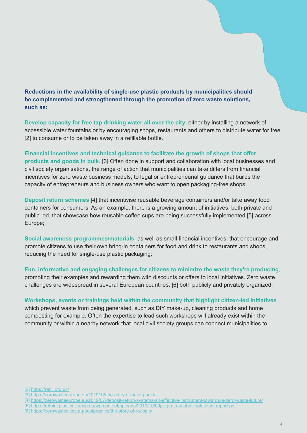**Reductions in the availability of single-use plastic products by municipalities should be complemented and strengthened through the promotion of zero waste solutions, such as:**

**Develop capacity for free tap drinking water all over the city**, either by installing a network of accessible water fountains or by encouraging shops, restaurants and others to distribute water for free [2] to consume or to be taken away in a refillable bottle.

**Financial incentives and technical guidance to facilitate the growth of shops that offer products and goods in bulk**. [3] Often done in support and collaboration with local businesses and civil society organisations, the range of action that municipalities can take differs from financial incentives for zero waste business models, to legal or entrepreneurial guidance that builds the capacity of entrepreneurs and business owners who want to open packaging-free shops;

**Deposit return schemes** [4] that incentivise reusable beverage containers and/or take away food containers for consumers. As an example, there is a growing amount of initiatives, both private and public-led, that showcase how reusable coffee cups are being successfully implemented [5] across Europe;

**Social awareness programmes/materials**, as well as small financial incentives, that encourage and promote citizens to use their own bring-in containers for food and drink to restaurants and shops, reducing the need for single-use plastic packaging;

**Fun, informative and engaging challenges for citizens to minimize the waste they're producing**, promoting their examples and rewarding them with discounts or offers to local initiatives. Zero waste challenges are widespread in several European countries, [6] both publicly and privately organized;

**Workshops, events or trainings held within the community that highlight citizen-led initiatives** which prevent waste from being generated, such as DIY make-up, cleaning products and home composting for example. Often the expertise to lead such workshops will already exist within the community or within a nearby network that local civil society groups can connect municipalities to.

[2]<https://refill.org.uk/>

[4]<https://zerowasteeurope.eu/2019/07/deposit-return-systems-an-effective-instrument-towards-a-zero-waste-future/>

[6]<https://zerowastecities.eu/bestpractice/the-story-of-roubaix/>

https://zerowasteeurope.eu/2019/12/the-story-of-unverpackt/

<sup>[5]</sup> [https://rethinkplasticalliance.eu/wp-content/uploads/2019/10/bffp\\_rpa\\_reusable\\_solutions\\_report.pdf](https://rethinkplasticalliance.eu/wp-content/uploads/2019/10/bffp_rpa_reusable_solutions_report.pdf)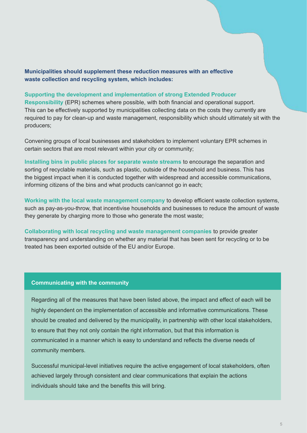**Municipalities should supplement these reduction measures with an effective waste collection and recycling system, which includes:**

#### **Supporting the development and implementation of strong Extended Producer**

**Responsibility** (EPR) schemes where possible, with both financial and operational support. This can be effectively supported by municipalities collecting data on the costs they currently are required to pay for clean-up and waste management, responsibility which should ultimately sit with the producers;

Convening groups of local businesses and stakeholders to implement voluntary EPR schemes in certain sectors that are most relevant within your city or community;

**Installing bins in public places for separate waste streams** to encourage the separation and sorting of recyclable materials, such as plastic, outside of the household and business. This has the biggest impact when it is conducted together with widespread and accessible communications, informing citizens of the bins and what products can/cannot go in each;

**Working with the local waste management company** to develop efficient waste collection systems, such as pay-as-you-throw, that incentivise households and businesses to reduce the amount of waste they generate by charging more to those who generate the most waste;

**Collaborating with local recycling and waste management companies** to provide greater transparency and understanding on whether any material that has been sent for recycling or to be treated has been exported outside of the EU and/or Europe.

#### **Communicating with the community**

Regarding all of the measures that have been listed above, the impact and effect of each will be highly dependent on the implementation of accessible and informative communications. These should be created and delivered by the municipality, in partnership with other local stakeholders, to ensure that they not only contain the right information, but that this information is communicated in a manner which is easy to understand and reflects the diverse needs of community members.

Successful municipal-level initiatives require the active engagement of local stakeholders, often achieved largely through consistent and clear communications that explain the actions individuals should take and the benefits this will bring.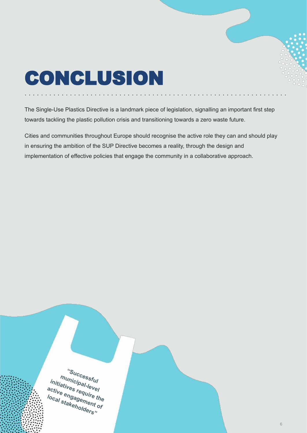## CONCLUSION

The Single-Use Plastics Directive is a landmark piece of legislation, signalling an important first step towards tackling the plastic pollution crisis and transitioning towards a zero waste future.

Cities and communities throughout Europe should recognise the active role they can and should play in ensuring the ambition of the SUP Directive becomes a reality, through the design and implementation of effective policies that engage the community in a collaborative approach.

**"Successful municipal-level initiatives require the active engagement of**  lo<sub>cal stakeholders"</sub>